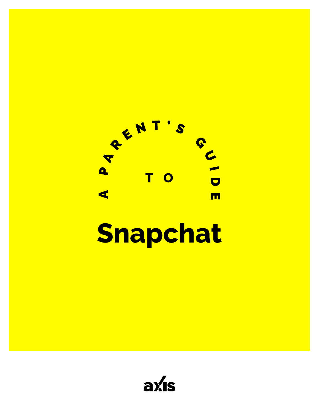

# **Snapchat**

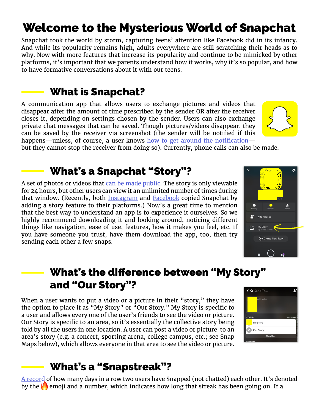# Welcome to the Mysterious World of Snapchat

Snapchat took the world by storm, capturing teens' attention like Facebook did in its infancy. And while its popularity remains high, adults everywhere are still scratching their heads as to why. Now with more features that increase its popularity and continue to be mimicked by other platforms, it's important that we parents understand how it works, why it's so popular, and how to have formative conversations about it with our teens.

#### What is Snapchat?

A communication app that allows users to exchange pictures and videos that disappear after the amount of time prescribed by the sender OR after the receiver closes it, depending on settings chosen by the sender. Users can also exchange private chat messages that can be saved. Though pictures/videos disappear, they can be saved by the receiver via screenshot (the sender will be notified if this happens—unless, of course, a user knows [how to get around the notification](https://www.techadvisor.co.uk/how-to/social-networks/how-screenshot-on-snapchat-without-them-knowing-2017-3634217/)—

but they cannot stop the receiver from doing so). Currently, phone calls can also be made.

#### What's a Snapchat "Story"?

A set of photos or videos that [can be made public.](https://support.snapchat.com/en-US/ca/stories) The story is only viewable for 24 hours, but other users can view it an unlimited number of times during that window. (Recently, both [Instagram](http://blog.instagram.com/post/148348940287/160802-stories) and [Facebook](https://blog.bufferapp.com/facebook-stories) copied Snapchat by adding a story feature to their platforms.) Now's a great time to mention that the best way to understand an app is to experience it ourselves. So we highly recommend downloading it and looking around, noticing different things like navigation, ease of use, features, how it makes you feel, etc. If you have someone you trust, have them download the app, too, then try sending each other a few snaps.

#### What's the difference between "My Story" and "Our Story"?

When a user wants to put a video or a picture in their "story," they have the option to place it as "My Story" or "Our Story." My Story is specific to a user and allows every one of the user's friends to see the video or picture. Our Story is specific to an area, so it's essentially the collective story being told by all the users in one location. A user can post a video or picture to an area's story (e.g. a concert, sporting arena, college campus, etc.; see Snap Maps below), which allows everyone in that area to see the video or picture.



#### What's a "Snapstreak"?

[A record](https://support.snapchat.com/en-US/a/Snaps-snapstreak) of how many days in a row two users have Snapped (not chatted) each other. It's denoted by the  $\bigcirc$  emoji and a number, which indicates how long that streak has been going on. If a

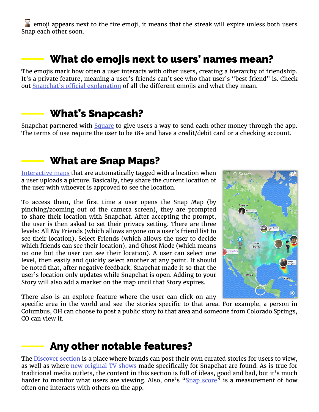$\blacktriangleright$  emoji appears next to the fire emoji, it means that the streak will expire unless both users Snap each other soon.

#### What do emojis next to users' names mean?

The emojis mark how often a user interacts with other users, creating a hierarchy of friendship. It's a private feature, meaning a user's friends can't see who that user's "best friend" is. Check out [Snapchat's official explanation](https://support.snapchat.com/en-US/a/friend-emojis) of all the different emojis and what they mean.

#### What's Snapcash?

Snapchat partnered with [Square](https://en.wikipedia.org/wiki/Square,_Inc.) to give users a way to send each other money through the app. The terms of use require the user to be 18+ and have a credit/debit card or a checking account.

#### What are Snap Maps?

[Interactive maps](https://support.snapchat.com/en-US/article/about-snap-map2) that are automatically tagged with a location when a user uploads a picture. Basically, they share the current location of the user with whoever is approved to see the location.

To access them, the first time a user opens the Snap Map (by pinching/zooming out of the camera screen), they are prompted to share their location with Snapchat. After accepting the prompt, the user is then asked to set their privacy setting. There are three levels: All My Friends (which allows anyone on a user's friend list to see their location), Select Friends (which allows the user to decide which friends can see their location), and Ghost Mode (which means no one but the user can see their location). A user can select one level, then easily and quickly select another at any point. It should be noted that, after negative feedback, Snapchat made it so that the user's location only updates while Snapchat is open. Adding to your Story will also add a marker on the map until that Story expires.

There also is an explore feature where the user can click on any

specific area in the world and see the stories specific to that area. For example, a person in Columbus, OH can choose to post a public story to that area and someone from Colorado Springs, CO can view it.

#### Any other notable features?

The **Discover section** is a place where brands can post their own curated stories for users to view, as well as where [new original TV shows](https://www.usatoday.com/story/tech/talkingtech/2017/01/29/tv-shows-go-into-overdrive-snapchat/97142416/#) made specifically for Snapchat are found. As is true for traditional media outlets, the content in this section is full of ideas, good and bad, but it's much harder to monitor what users are viewing. Also, one's "[Snap score"](https://support.snapchat.com/en-US/a/hiscore) is a measurement of how often one interacts with others on the app.

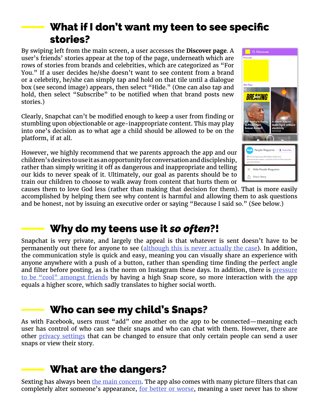# What if I don't want my teen to see specific stories?

By swiping left from the main screen, a user accesses the **Discover page**. A user's friends' stories appear at the top of the page, underneath which are rows of stories from brands and celebrities, which are categorized as "For You." If a user decides he/she doesn't want to see content from a brand or a celebrity, he/she can simply tap and hold on that tile until a dialogue box (see second image) appears, then select "Hide." (One can also tap and hold, then select "Subscribe" to be notified when that brand posts new stories.)

Clearly, Snapchat can't be modified enough to keep a user from finding or stumbling upon objectionable or age-inappropriate content. This may play into one's decision as to what age a child should be allowed to be on the platform, if at all.

However, we highly recommend that we parents approach the app and our children's desires to use it as an opportunity for conversation and discipleship, rather than simply writing it off as dangerous and inappropriate and telling our kids to never speak of it. Ultimately, our goal as parents should be to train our children to choose to walk away from content that hurts them or



causes them to love God less (rather than making that decision for them). That is more easily accomplished by helping them see why content is harmful and allowing them to ask questions and be honest, not by issuing an executive order or saying "Because I said so." (See below.)

# Why do my teens use it *so often*?!

Snapchat is very private, and largely the appeal is that whatever is sent doesn't have to be permanently out there for anyone to see [\(although this is never actually the case\)](http://abcnews.go.com/Technology/deleted-snapchat-photos/story?id=23657797). In addition, the communication style is quick and easy, meaning you can visually share an experience with anyone anywhere with a push of a button, rather than spending time finding the perfect angle and filter before posting, as is the norm on Instagram these days. In addition, there is pressure [to be "cool" amongst friends](https://www.thrillist.com/tech/nation/snapchat-numbers-scores-everything-you-need-to-know) by having a high Snap score, so more interaction with the app equals a higher score, which sadly translates to higher social worth.

#### Who can see my child's Snaps?

As with Facebook, users must "add" one another on the app to be connected—meaning each user has control of who can see their snaps and who can chat with them. However, there are other [privacy settings](http://visihow.com/Edit_Who_Can_Send_You_Snaps_and_View_Your_Story_on_SnapChat) that can be changed to ensure that only certain people can send a user snaps or view their story.

# What are the dangers?

Sexting has always been [the main concern](http://mashable.com/2017/02/07/snapchat-sexting-revolution/#TSmyIdCXVaqb). The app also comes with many picture filters that can completely alter someone's appearance, <u>[for better or worse](http://www.fox26houston.com/news/142702406-story)</u>, meaning a user never has to show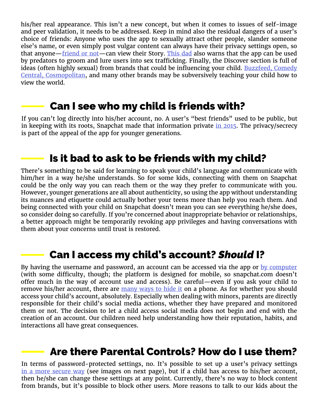his/her real appearance. This isn't a new concept, but when it comes to issues of self-image and peer validation, it needs to be addressed. Keep in mind also the residual dangers of a user's choice of friends: Anyone who uses the app to sexually attract other people, slander someone else's name, or even simply post vulgar content can always have their privacy settings open, so that anyone[—friend or not—](https://support.snapchat.com/en-US/a/privacy-settings)can view their Story. [This dad](http://foreverymom.com/family-parenting/dad-rescues-daughter-from-sex-traffickers-says-beware-of-snapchat/?utm_source=Facebook&utm_medium=Susannah&utm_campaign=dad+warns+) also warns that the app can be used by predators to groom and lure users into sex trafficking. Finally, the Discover section is full of ideas (often highly sexual) from brands that could be influencing your child. [Buzzfeed, Comedy](http://variety.com/2016/data/news/snapchat-content-survey-how-much-millennials-actually-use-live-stories-discover-and-more-1201736616/) [Central, Cosmopolitan,](http://variety.com/2016/data/news/snapchat-content-survey-how-much-millennials-actually-use-live-stories-discover-and-more-1201736616/) and many other brands may be subversively teaching your child how to view the world.

#### Can I see who my child is friends with?

If you can't log directly into his/her account, no. A user's "best friends" used to be public, but in keeping with its roots, Snapchat made that information private [in 2015.](http://wojdylosocialmedia.com/see-other-peoples-friends-on-snapchat/) The privacy/secrecy is part of the appeal of the app for younger generations.

# Is it bad to ask to be friends with my child?

There's something to be said for learning to speak your child's language and communicate with him/her in a way he/she understands. So for some kids, connecting with them on Snapchat could be the only way you can reach them or the way they prefer to communicate with you. However, younger generations are all about authenticity, so using the app without understanding its nuances and etiquette could actually bother your teens more than help you reach them. And being connected with your child on Snapchat doesn't mean you can see everything he/she does, so consider doing so carefully. If you're concerned about inappropriate behavior or relationships, a better approach might be temporarily revoking app privileges and having conversations with them about your concerns until trust is restored.

#### Can I access my child's account? *Should* I?

By having the username and password, an account can be accessed via the app or [by computer](https://www.usatoday.com/story/tech/columnist/saltzman/2017/02/18/use-these-made-for-mobile-apps-when-youre-stuck-in-front-of-a-desktop/98010966/#) (with some difficulty, though; the platform is designed for mobile, so snapchat.com doesn't offer much in the way of account use and access). Be careful—even if you ask your child to remove his/her account, there are [many ways to hide it](https://www.engadget.com/2014/03/26/how-to-completely-hide-any-app-or-folder-on-your-iphone-or-ipad/) on a phone. As for whether you should access your child's account, absolutely. Especially when dealing with minors, parents are directly responsible for their child's social media actions, whether they have prepared and monitored them or not. The decision to let a child access social media does not begin and end with the creation of an account. Our children need help understanding how their reputation, habits, and interactions all have great consequences.

#### Are there Parental Controls? How do I use them?

In terms of password-protected settings, no. It's possible to set up a user's privacy settings [in a more secure way](https://www.internetmatters.org/parental-controls/social-media/snapchat/) (see images on next page), but if a child has access to his/her account, then he/she can change these settings at any point. Currently, there's no way to block content from brands, but it's possible to block other users. More reasons to talk to our kids about the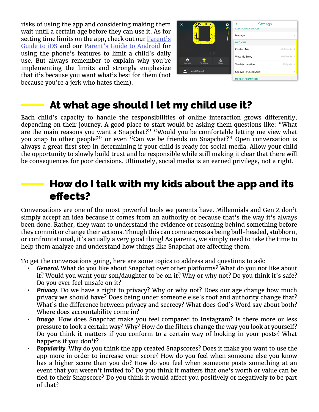risks of using the app and considering making them wait until a certain age before they can use it. As for setting time limits on the app, check out our **Parent's** [Guide to iOS](https://axis.org/guides#img-28010-187) and our [Parent's Guide to Android](https://axis.org/guides#img-16080) for using the phone's features to limit a child's daily use. But always remember to explain why you're implementing the limits and strongly emphasize that it's because you want what's best for them (not because you're a jerk who hates them).



# At what age should I let my child use it?

Each child's capacity to handle the responsibilities of online interaction grows differently, depending on their journey. A good place to start would be asking them questions like: "What are the main reasons you want a Snapchat?" "Would you be comfortable letting me view what you snap to other people?" or even "Can we be friends on Snapchat?" Open conversation is always a great first step in determining if your child is ready for social media. Allow your child the opportunity to slowly build trust and be responsible while still making it clear that there will be consequences for poor decisions. Ultimately, social media is an earned privilege, not a right.

#### How do I talk with my kids about the app and its effects?

Conversations are one of the most powerful tools we parents have. Millennials and Gen Z don't simply accept an idea because it comes from an authority or because that's the way it's always been done. Rather, they want to understand the evidence or reasoning behind something before they commit or change their actions. Though this can come across as being bull-headed, stubborn, or confrontational, it's actually a very good thing! As parents, we simply need to take the time to help them analyze and understand how things like Snapchat are affecting them.

To get the conversations going, here are some topics to address and questions to ask:

- *• General.* What do you like about Snapchat over other platforms? What do you not like about it? Would you want your son/daughter to be on it? Why or why not? Do you think it's safe? Do you ever feel unsafe on it?
- *Privacy*. Do we have a right to privacy? Why or why not? Does our age change how much privacy we should have? Does being under someone else's roof and authority change that? What's the difference between privacy and secrecy? What does God's Word say about both? Where does accountability come in?
- *• Image*. How does Snapchat make you feel compared to Instagram? Is there more or less pressure to look a certain way? Why? How do the filters change the way you look at yourself? Do you think it matters if you conform to a certain way of looking in your posts? What happens if you don't?
- *• Popularity*. Why do you think the app created Snapscores? Does it make you want to use the app more in order to increase your score? How do you feel when someone else you know has a higher score than you do? How do you feel when someone posts something at an event that you weren't invited to? Do you think it matters that one's worth or value can be tied to their Snapscore? Do you think it would affect you positively or negatively to be part of that?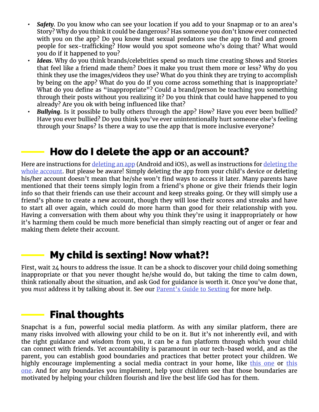- *• Safety*. Do you know who can see your location if you add to your Snapmap or to an area's Story? Why do you think it could be dangerous? Has someone you don't know ever connected with you on the app? Do you know that sexual predators use the app to find and groom people for sex-trafficking? How would you spot someone who's doing that? What would you do if it happened to you?
- *• Ideas*. Why do you think brands/celebrities spend so much time creating Shows and Stories that feel like a friend made them? Does it make you trust them more or less? Why do you think they use the images/videos they use? What do you think they are trying to accomplish by being on the app? What do you do if you come across something that is inappropriate? What do you define as "inappropriate"? Could a brand/person be teaching you something through their posts without you realizing it? Do you think that could have happened to you already? Are you ok with being influenced like that?
- *• Bullying*. Is it possible to bully others through the app? How? Have you ever been bullied? Have you ever bullied? Do you think you've ever unintentionally hurt someone else's feeling through your Snaps? Is there a way to use the app that is more inclusive everyone?

#### How do I delete the app or an account?

Here are instructions for *deleting an app* (Android and iOS), as well as instructions for *deleting the* [whole account.](http://www.androidauthority.com/delete-snapchat-account-691746/) But please be aware! Simply deleting the app from your child's device or deleting his/her account doesn't mean that he/she won't find ways to access it later. Many parents have mentioned that their teens simply login from a friend's phone or give their friends their login info so that their friends can use their account and keep streaks going. Or they will simply use a friend's phone to create a new account, though they will lose their scores and streaks and have to start all over again, which could do more harm than good for their relationship with you. Having a conversation with them about why you think they're using it inappropriately or how it's harming them could be much more beneficial than simply reacting out of anger or fear and making them delete their account.

#### My child is sexting! Now what?!

First, wait 24 hours to address the issue. It can be a shock to discover your child doing something inappropriate or that you never thought he/she would do, but taking the time to calm down, think rationally about the situation, and ask God for guidance is worth it. Once you've done that, you *must* address it by talking about it. See our [Parent's Guide to Sexting](https://axis.org/guides) for more help.

#### $\blacksquare$  Final thoughts

Snapchat is a fun, powerful social media platform. As with any similar platform, there are many risks involved with allowing your child to be on it. But it's not inherently evil, and with the right guidance and wisdom from you, it can be a fun platform through which your child can connect with friends. Yet accountability is paramount in our tech-based world, and as the parent, you can establish good boundaries and practices that better protect your children. We highly encourage implementing a social media contract in your home, like [this one](http://www.youthministrymedia.ca/resources-2/creating-a-social-media-contract-for-students/) or this [one.](https://www.verywell.com/social-media-contract-for-tweens-and-parents-3288520) And for any boundaries you implement, help your children see that those boundaries are motivated by helping your children flourish and live the best life God has for them.